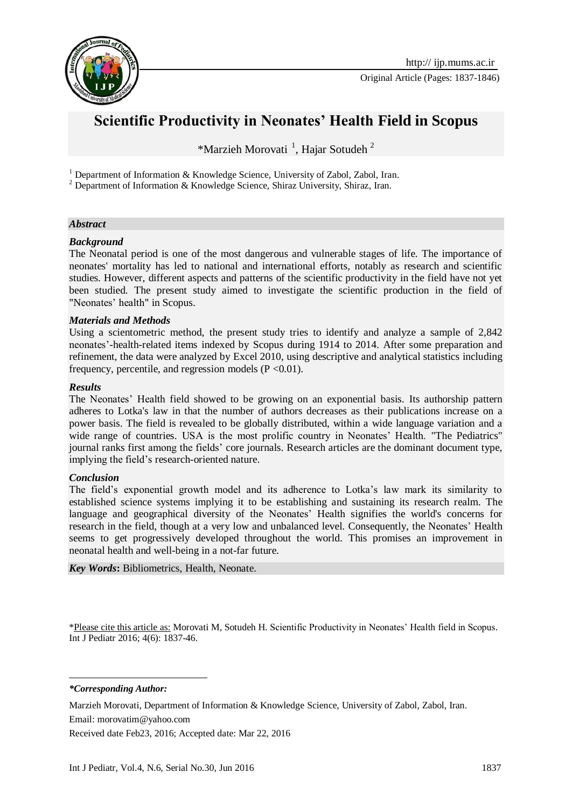

# **Scientific Productivity in Neonates' Health Field in Scopus**

\*Marzieh Morovati<sup>1</sup>, Hajar Sotudeh<sup>2</sup>

<sup>1</sup> Department of Information & Knowledge Science, University of Zabol, Zabol, Iran.

<sup>2</sup> Department of Information & Knowledge Science, Shiraz University, Shiraz, Iran.

#### *Abstract*

#### *Background*

The Neonatal period is one of the most dangerous and vulnerable stages of life. The importance of neonates' mortality has led to national and international efforts, notably as research and scientific studies. However, different aspects and patterns of the scientific productivity in the field have not yet been studied. The present study aimed to investigate the scientific production in the field of "Neonates' health" in Scopus.

#### *Materials and Methods*

Using a scientometric method, the present study tries to identify and analyze a sample of 2,842 neonates'-health-related items indexed by Scopus during 1914 to 2014. After some preparation and refinement, the data were analyzed by Excel 2010, using descriptive and analytical statistics including frequency, percentile, and regression models  $(P < 0.01)$ .

#### *Results*

The Neonates' Health field showed to be growing on an exponential basis. Its authorship pattern adheres to Lotka's law in that the number of authors decreases as their publications increase on a power basis. The field is revealed to be globally distributed, within a wide language variation and a wide range of countries. USA is the most prolific country in Neonates' Health. "The Pediatrics" journal ranks first among the fields' core journals. Research articles are the dominant document type, implying the field's research-oriented nature.

#### *Conclusion*

The field's exponential growth model and its adherence to Lotka's law mark its similarity to established science systems implying it to be establishing and sustaining its research realm. The language and geographical diversity of the Neonates' Health signifies the world's concerns for research in the field, though at a very low and unbalanced level. Consequently, the Neonates' Health seems to get progressively developed throughout the world. This promises an improvement in neonatal health and well-being in a not-far future.

*Key Words***:** Bibliometrics, Health, Neonate.

\*Please cite this article as: Morovati M, Sotudeh H. Scientific Productivity in Neonates' Health field in Scopus. Int J Pediatr 2016; 4(6): 1837-46.

*\*Corresponding Author:*

**.** 

Marzieh Morovati, Department of Information & Knowledge Science, University of Zabol, Zabol, Iran. Email: morovatim@yahoo.com

Received date Feb23, 2016; Accepted date: Mar 22, 2016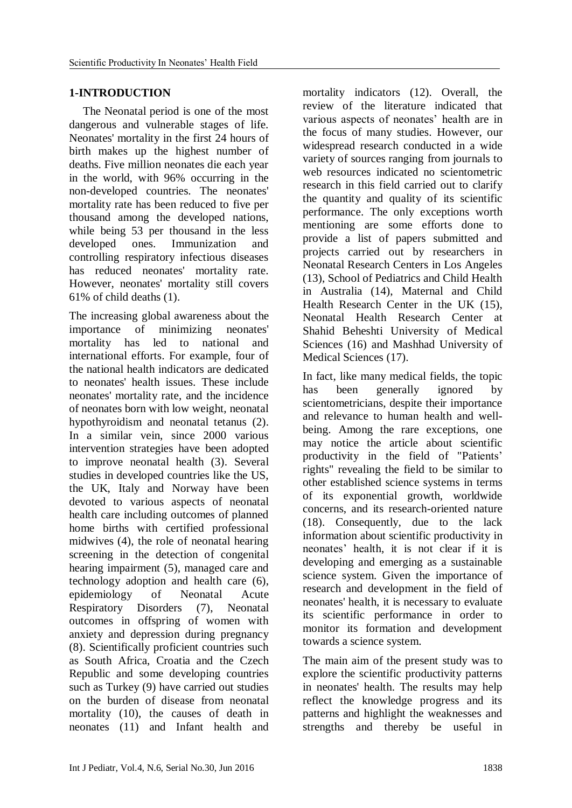# **1-INTRODUCTION**

The Neonatal period is one of the most dangerous and vulnerable stages of life. Neonates' mortality in the first 24 hours of birth makes up the highest number of deaths. Five million neonates die each year in the world, with 96% occurring in the non-developed countries. The neonates' mortality rate has been reduced to five per thousand among the developed nations, while being 53 per thousand in the less developed ones. Immunization and controlling respiratory infectious diseases has reduced neonates' mortality rate. However, neonates' mortality still covers 61% of child deaths (1).

The increasing global awareness about the importance of minimizing neonates' mortality has led to national and international efforts. For example, four of the national health indicators are dedicated to neonates' health issues. These include neonates' mortality rate, and the incidence of neonates born with low weight, neonatal hypothyroidism and neonatal tetanus (2). In a similar vein, since 2000 various intervention strategies have been adopted to improve neonatal health (3). Several studies in developed countries like the US, the UK, Italy and Norway have been devoted to various aspects of neonatal health care including outcomes of planned home births with certified professional midwives (4), the role of neonatal hearing screening in the detection of congenital hearing impairment (5), managed care and technology adoption and health care (6), epidemiology of Neonatal Acute Respiratory Disorders (7), Neonatal outcomes in offspring of women with anxiety and depression during pregnancy (8). Scientifically proficient countries such as South Africa, Croatia and the Czech Republic and some developing countries such as Turkey (9) have carried out studies on the burden of disease from neonatal mortality (10), the causes of death in neonates (11) and Infant health and

mortality indicators (12). Overall, the review of the literature indicated that various aspects of neonates' health are in the focus of many studies. However, our widespread research conducted in a wide variety of sources ranging from journals to web resources indicated no scientometric research in this field carried out to clarify the quantity and quality of its scientific performance. The only exceptions worth mentioning are some efforts done to provide a list of papers submitted and projects carried out by researchers in Neonatal Research Centers in Los Angeles (13), School of Pediatrics and Child Health in Australia (14), Maternal and Child Health Research Center in the UK (15), Neonatal Health Research Center at Shahid Beheshti University of Medical Sciences (16) and Mashhad University of Medical Sciences (17).

In fact, like many medical fields, the topic has been generally ignored by scientometricians, despite their importance and relevance to human health and wellbeing. Among the rare exceptions, one may notice the article about scientific productivity in the field of "Patients' rights" revealing the field to be similar to other established science systems in terms of its exponential growth, worldwide concerns, and its research-oriented nature (18). Consequently, due to the lack information about scientific productivity in neonates' health, it is not clear if it is developing and emerging as a sustainable science system. Given the importance of research and development in the field of neonates' health, it is necessary to evaluate its scientific performance in order to monitor its formation and development towards a science system.

The main aim of the present study was to explore the scientific productivity patterns in neonates' health. The results may help reflect the knowledge progress and its patterns and highlight the weaknesses and strengths and thereby be useful in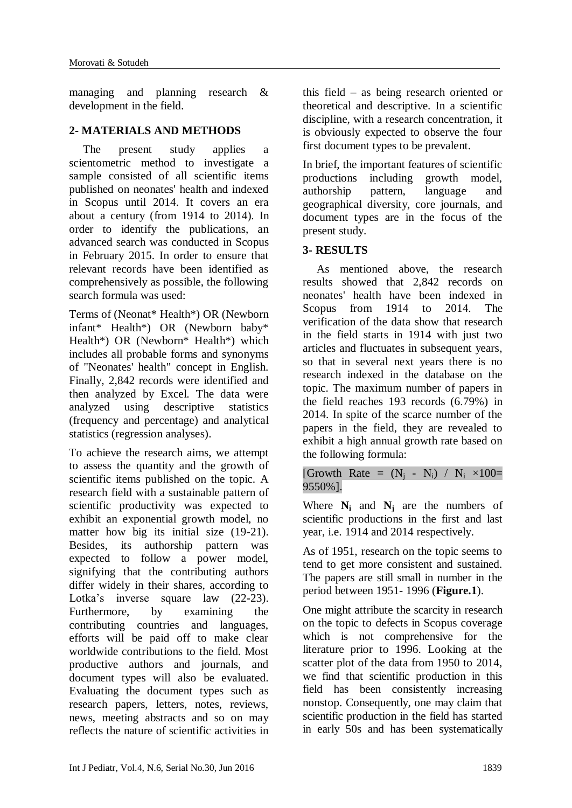managing and planning research & development in the field.

# **2- MATERIALS AND METHODS**

The present study applies a scientometric method to investigate a sample consisted of all scientific items published on neonates' health and indexed in Scopus until 2014. It covers an era about a century (from 1914 to 2014). In order to identify the publications, an advanced search was conducted in Scopus in February 2015. In order to ensure that relevant records have been identified as comprehensively as possible, the following search formula was used:

Terms of (Neonat\* Health\*) OR (Newborn infant\* Health\*) OR (Newborn baby\* Health\*) OR (Newborn\* Health\*) which includes all probable forms and synonyms of "Neonates' health" concept in English. Finally, 2,842 records were identified and then analyzed by Excel. The data were analyzed using descriptive statistics (frequency and percentage) and analytical statistics (regression analyses).

To achieve the research aims, we attempt to assess the quantity and the growth of scientific items published on the topic. A research field with a sustainable pattern of scientific productivity was expected to exhibit an exponential growth model, no matter how big its initial size (19-21). Besides, its authorship pattern was expected to follow a power model, signifying that the contributing authors differ widely in their shares, according to Lotka's inverse square law (22-23). Furthermore, by examining the contributing countries and languages, efforts will be paid off to make clear worldwide contributions to the field. Most productive authors and journals, and document types will also be evaluated. Evaluating the document types such as research papers, letters, notes, reviews, news, meeting abstracts and so on may reflects the nature of scientific activities in

this field – as being research oriented or theoretical and descriptive. In a scientific discipline, with a research concentration, it is obviously expected to observe the four first document types to be prevalent.

In brief, the important features of scientific productions including growth model, authorship pattern, language and geographical diversity, core journals, and document types are in the focus of the present study.

# **3- RESULTS**

As mentioned above, the research results showed that 2,842 records on neonates' health have been indexed in Scopus from 1914 to 2014. The verification of the data show that research in the field starts in 1914 with just two articles and fluctuates in subsequent years, so that in several next years there is no research indexed in the database on the topic. The maximum number of papers in the field reaches 193 records (6.79%) in 2014. In spite of the scarce number of the papers in the field, they are revealed to exhibit a high annual growth rate based on the following formula:

[Growth Rate =  $(N_i - N_i) / N_i \times 100$ = 9550%].

Where  $N_i$  and  $N_j$  are the numbers of scientific productions in the first and last year, i.e. 1914 and 2014 respectively.

As of 1951, research on the topic seems to tend to get more consistent and sustained. The papers are still small in number in the period between 1951- 1996 (**Figure.1**).

One might attribute the scarcity in research on the topic to defects in Scopus coverage which is not comprehensive for the literature prior to 1996. Looking at the scatter plot of the data from 1950 to 2014, we find that scientific production in this field has been consistently increasing nonstop. Consequently, one may claim that scientific production in the field has started in early 50s and has been systematically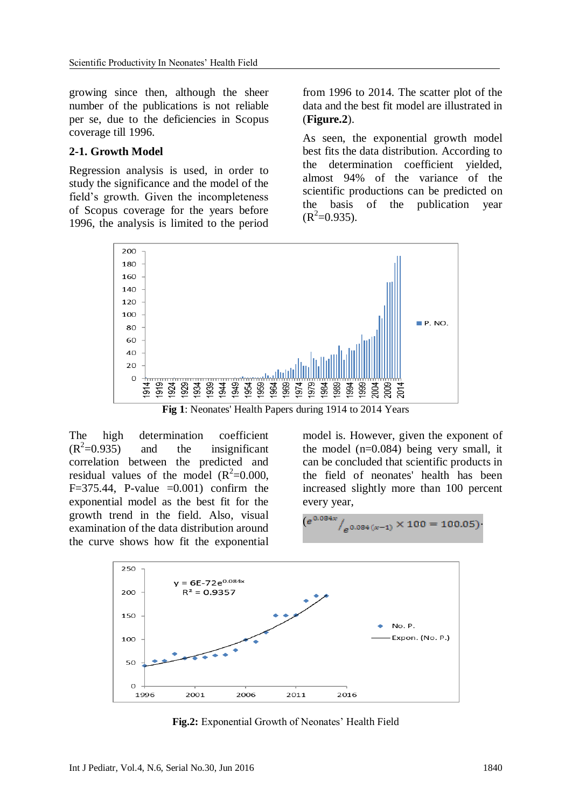growing since then, although the sheer number of the publications is not reliable per se, due to the deficiencies in Scopus coverage till 1996.

#### **2-1. Growth Model**

Regression analysis is used, in order to study the significance and the model of the field's growth. Given the incompleteness of Scopus coverage for the years before 1996, the analysis is limited to the period from 1996 to 2014. The scatter plot of the data and the best fit model are illustrated in (**Figure.2**).

As seen, the exponential growth model best fits the data distribution. According to the determination coefficient yielded, almost 94% of the variance of the scientific productions can be predicted on the basis of the publication year  $(R^2=0.935)$ .



**Fig 1**: Neonates' Health Papers during 1914 to 2014 Years

The high determination coefficient  $(R^2=0.935)$ and the insignificant correlation between the predicted and residual values of the model  $(R^2=0.000,$ F=375.44, P-value = $0.001$ ) confirm the exponential model as the best fit for the growth trend in the field. Also, visual examination of the data distribution around the curve shows how fit the exponential

model is. However, given the exponent of the model  $(n=0.084)$  being very small, it can be concluded that scientific products in the field of neonates' health has been increased slightly more than 100 percent every year,

$$
(e^{0.084x}/e^{0.084(x-1)} \times 100 = 100.05)
$$



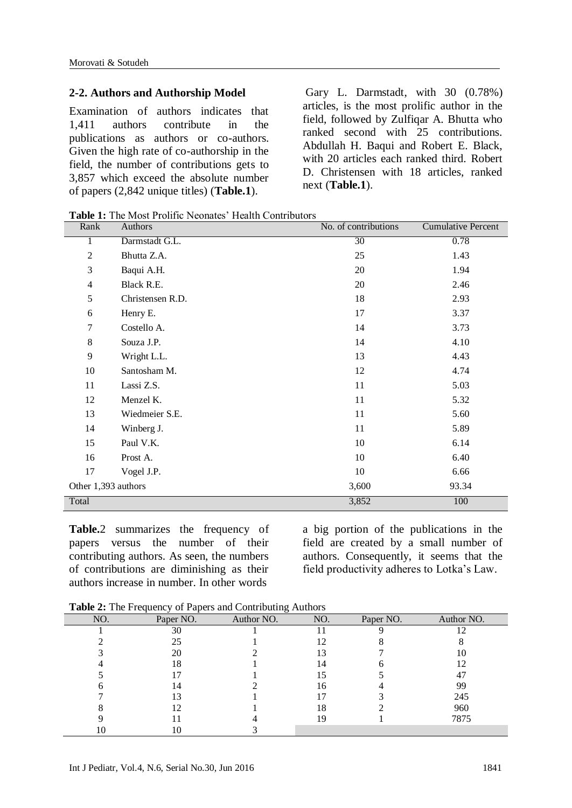#### **2-2. Authors and Authorship Model**

Examination of authors indicates that 1,411 authors contribute in the publications as authors or co-authors. Given the high rate of co-authorship in the field, the number of contributions gets to 3,857 which exceed the absolute number of papers (2,842 unique titles) (**Table.1**).

Gary L. Darmstadt, with 30 (0.78%) articles, is the most prolific author in the field, followed by Zulfiqar A. Bhutta who ranked second with 25 contributions. [Abdullah H.](http://www.pubfacts.com/author/Abdullah+H+Baqui) Baqui and Robert E. Black, with 20 articles each ranked third. Robert D. Christensen with 18 articles, ranked next (**Table.1**).

**Table 1:** The Most Prolific Neonates' Health Contributors

| Rank                | Authors          | No. of contributions | <b>Cumulative Percent</b> |
|---------------------|------------------|----------------------|---------------------------|
| 1                   | Darmstadt G.L.   | $\overline{30}$      | 0.78                      |
| $\overline{2}$      | Bhutta Z.A.      | 25                   | 1.43                      |
| 3                   | Baqui A.H.       | 20                   | 1.94                      |
| $\overline{4}$      | Black R.E.       | 20                   | 2.46                      |
| 5                   | Christensen R.D. | 18                   | 2.93                      |
| 6                   | Henry E.         | 17                   | 3.37                      |
| 7                   | Costello A.      | 14                   | 3.73                      |
| $8\,$               | Souza J.P.       | 14                   | 4.10                      |
| 9                   | Wright L.L.      | 13                   | 4.43                      |
| 10                  | Santosham M.     | 12                   | 4.74                      |
| 11                  | Lassi Z.S.       | 11                   | 5.03                      |
| 12                  | Menzel K.        | 11                   | 5.32                      |
| 13                  | Wiedmeier S.E.   | 11                   | 5.60                      |
| 14                  | Winberg J.       | 11                   | 5.89                      |
| 15                  | Paul V.K.        | 10                   | 6.14                      |
| 16                  | Prost A.         | $10\,$               | 6.40                      |
| 17                  | Vogel J.P.       | 10                   | 6.66                      |
| Other 1,393 authors |                  | 3,600                | 93.34                     |
| Total               |                  | 3,852                | 100                       |

**Table.**2 summarizes the frequency of papers versus the number of their contributing authors. As seen, the numbers of contributions are diminishing as their authors increase in number. In other words

a big portion of the publications in the field are created by a small number of authors. Consequently, it seems that the field productivity adheres to Lotka's Law.

**Table 2:** The Frequency of Papers and Contributing Authors

| NO. | Paper NO. | $\circ$<br>Author NO. | NO. | Paper NO. | Author NO. |
|-----|-----------|-----------------------|-----|-----------|------------|
|     | 30        |                       |     |           |            |
|     | 25        |                       | 12  |           |            |
|     | 20        |                       | 13  |           | 10         |
|     | 18        |                       | 14  |           |            |
|     |           |                       |     |           | 47         |
|     | 14        |                       | 16  |           | 99         |
|     |           |                       |     |           | 245        |
|     |           |                       | 18  |           | 960        |
|     |           |                       | 19  |           | 7875       |
| ΙU  |           |                       |     |           |            |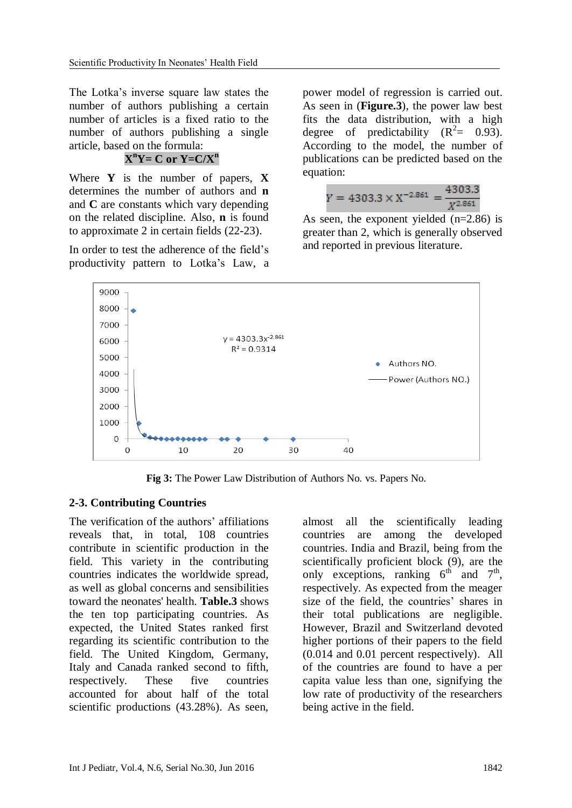The Lotka's inverse square law states the number of authors publishing a certain number of articles is a fixed ratio to the number of authors publishing a single article, based on the formula:

# $X<sup>n</sup>Y = C$  or  $Y = C/X<sup>n</sup>$

Where **Y** is the number of papers, **X** determines the number of authors and **n** and **C** are constants which vary depending on the related discipline. Also, **n** is found to approximate 2 in certain fields (22-23).

In order to test the adherence of the field's productivity pattern to Lotka's Law, a

power model of regression is carried out. As seen in (**Figure.3**), the power law best fits the data distribution, with a high degree of predictability  $(R^2 = 0.93)$ . According to the model, the number of publications can be predicted based on the equation:

$$
Y = 4303.3 \times X^{-2.861} = \frac{4303.3}{X^{2.861}}
$$

As seen, the exponent yielded (n=2.86) is greater than 2, which is generally observed and reported in previous literature.



**Fig 3:** The Power Law Distribution of Authors No. vs. Papers No.

# **2-3. Contributing Countries**

The verification of the authors' affiliations reveals that, in total, 108 countries contribute in scientific production in the field. This variety in the contributing countries indicates the worldwide spread, as well as global concerns and sensibilities toward the neonates' health. **Table.3** shows the ten top participating countries. As expected, the United States ranked first regarding its scientific contribution to the field. The United Kingdom, Germany, Italy and Canada ranked second to fifth, respectively. These five countries accounted for about half of the total scientific productions (43.28%). As seen,

almost all the scientifically leading countries are among the developed countries. India and Brazil, being from the scientifically proficient block (9), are the only exceptions, ranking  $6<sup>th</sup>$  and  $7<sup>th</sup>$ , respectively. As expected from the meager size of the field, the countries' shares in their total publications are negligible. However, Brazil and Switzerland devoted higher portions of their papers to the field (0.014 and 0.01 percent respectively). All of the countries are found to have a per capita value less than one, signifying the low rate of productivity of the researchers being active in the field.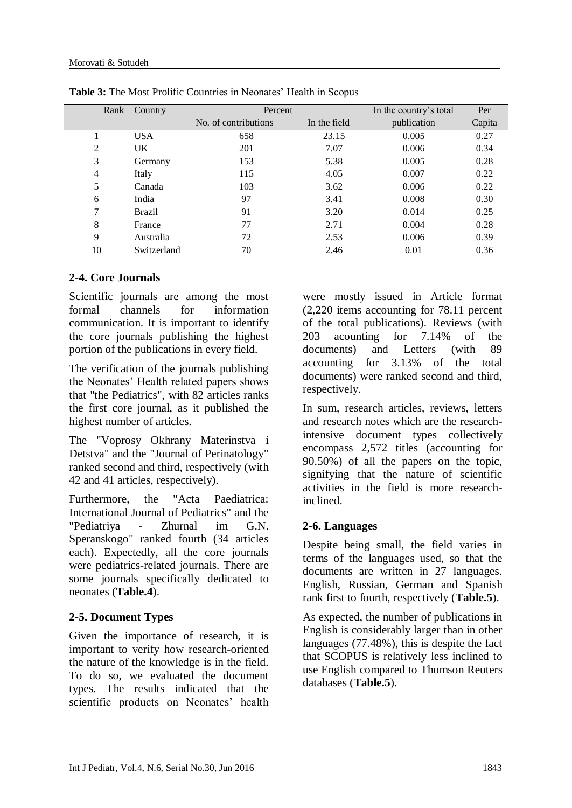| Rank           | Country       | Percent              |              | In the country's total | Per    |
|----------------|---------------|----------------------|--------------|------------------------|--------|
|                |               | No. of contributions | In the field | publication            | Capita |
|                | <b>USA</b>    | 658                  | 23.15        | 0.005                  | 0.27   |
| 2              | UK            | 201                  | 7.07         | 0.006                  | 0.34   |
| 3              | Germany       | 153                  | 5.38         | 0.005                  | 0.28   |
| $\overline{4}$ | Italy         | 115                  | 4.05         | 0.007                  | 0.22   |
| 5              | Canada        | 103                  | 3.62         | 0.006                  | 0.22   |
| 6              | India         | 97                   | 3.41         | 0.008                  | 0.30   |
| 7              | <b>Brazil</b> | 91                   | 3.20         | 0.014                  | 0.25   |
| 8              | France        | 77                   | 2.71         | 0.004                  | 0.28   |
| 9              | Australia     | 72                   | 2.53         | 0.006                  | 0.39   |
| 10             | Switzerland   | 70                   | 2.46         | 0.01                   | 0.36   |

**Table 3:** The Most Prolific Countries in Neonates' Health in Scopus

# **2-4. Core Journals**

Scientific journals are among the most formal channels for information communication. It is important to identify the core journals publishing the highest portion of the publications in every field.

The verification of the journals publishing the Neonates' Health related papers shows that "the Pediatrics", with 82 articles ranks the first core journal, as it published the highest number of articles.

The "Voprosy Okhrany Materinstva i Detstva" and the "Journal of Perinatology" ranked second and third, respectively (with 42 and 41 articles, respectively).

Furthermore, the "Acta Paediatrica: International Journal of Pediatrics" and the "Pediatriya - Zhurnal im G.N. Speranskogo" ranked fourth (34 articles each). Expectedly, all the core journals were pediatrics-related journals. There are some journals specifically dedicated to neonates (**Table.4**).

# **2-5. Document Types**

Given the importance of research, it is important to verify how research-oriented the nature of the knowledge is in the field. To do so, we evaluated the document types. The results indicated that the scientific products on Neonates' health

were mostly issued in Article format (2,220 items accounting for 78.11 percent of the total publications). Reviews (with 203 acounting for 7.14% of the documents) and Letters (with 89 accounting for 3.13% of the total documents) were ranked second and third, respectively.

In sum, research articles, reviews, letters and research notes which are the researchintensive document types collectively encompass 2,572 titles (accounting for 90.50%) of all the papers on the topic, signifying that the nature of scientific activities in the field is more researchinclined.

# **2-6. Languages**

Despite being small, the field varies in terms of the languages used, so that the documents are written in 27 languages. English, Russian, German and Spanish rank first to fourth, respectively (**Table.5**).

As expected, the number of publications in English is considerably larger than in other languages (77.48%), this is despite the fact that SCOPUS is relatively less inclined to use English compared to Thomson Reuters databases (**Table.5**).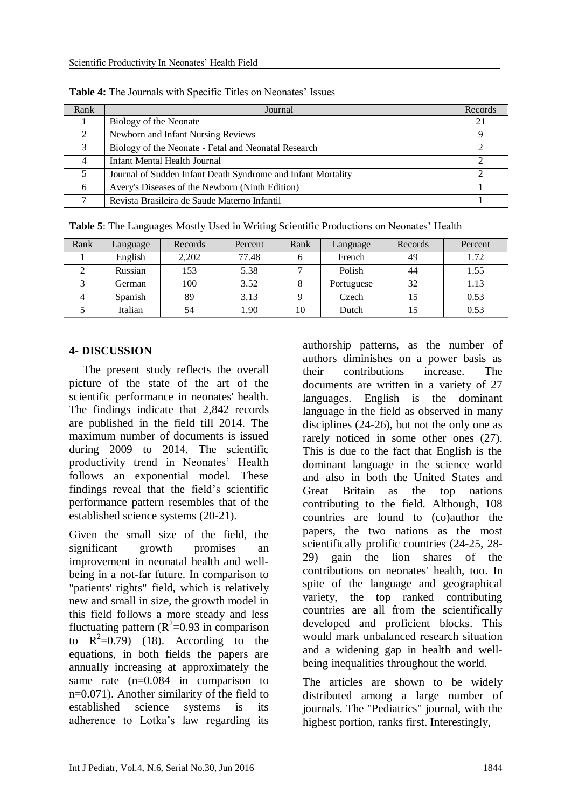| Rank          | Journal                                                      | Records |
|---------------|--------------------------------------------------------------|---------|
|               | Biology of the Neonate                                       | 21      |
|               | Newborn and Infant Nursing Reviews                           |         |
| $\mathcal{R}$ | Biology of the Neonate - Fetal and Neonatal Research         |         |
| 4             | Infant Mental Health Journal                                 |         |
|               | Journal of Sudden Infant Death Syndrome and Infant Mortality |         |
| 6             | Avery's Diseases of the Newborn (Ninth Edition)              |         |
|               | Revista Brasileira de Saude Materno Infantil                 |         |

**Table 4:** The Journals with Specific Titles on Neonates' Issues

| <b>Table 5:</b> The Languages Mostly Used in Writing Scientific Productions on Neonates' Health |  |  |  |
|-------------------------------------------------------------------------------------------------|--|--|--|
|                                                                                                 |  |  |  |

| Rank | Language | Records | Percent | Rank | Language   | Records | Percent |
|------|----------|---------|---------|------|------------|---------|---------|
|      | English  | 2,202   | 77.48   | h    | French     | 49      | 1.72    |
|      | Russian  | 153     | 5.38    |      | Polish     | 44      | 1.55    |
|      | German   | 100     | 3.52    |      | Portuguese | 32      | 1.13    |
|      | Spanish  | 89      | 3.13    |      | Czech      |         | 0.53    |
|      | Italian  | 54      | 1.90    | 10   | Dutch      |         | 0.53    |

### **4- DISCUSSION**

The present study reflects the overall picture of the state of the art of the scientific performance in neonates' health. The findings indicate that 2,842 records are published in the field till 2014. The maximum number of documents is issued during 2009 to 2014. The scientific productivity trend in Neonates' Health follows an exponential model. These findings reveal that the field's scientific performance pattern resembles that of the established science systems (20-21).

Given the small size of the field, the significant growth promises an improvement in neonatal health and wellbeing in a not-far future. In comparison to "patients' rights" field, which is relatively new and small in size, the growth model in this field follows a more steady and less fluctuating pattern  $(R^2=0.93$  in comparison to  $R^2=0.79$ ) (18). According to the equations, in both fields the papers are annually increasing at approximately the same rate (n=0.084 in comparison to n=0.071). Another similarity of the field to established science systems is its adherence to Lotka's law regarding its

authorship patterns, as the number of authors diminishes on a power basis as their contributions increase. The documents are written in a variety of 27 languages. English is the dominant language in the field as observed in many disciplines (24-26), but not the only one as rarely noticed in some other ones (27). This is due to the fact that English is the dominant language in the science world and also in both the United States and Great Britain as the top nations contributing to the field. Although, 108 countries are found to (co)author the papers, the two nations as the most scientifically prolific countries (24-25, 28- 29) gain the lion shares of the contributions on neonates' health, too. In spite of the language and geographical variety, the top ranked contributing countries are all from the scientifically developed and proficient blocks. This would mark unbalanced research situation and a widening gap in health and wellbeing inequalities throughout the world.

The articles are shown to be widely distributed among a large number of journals. The "Pediatrics" journal, with the highest portion, ranks first. Interestingly,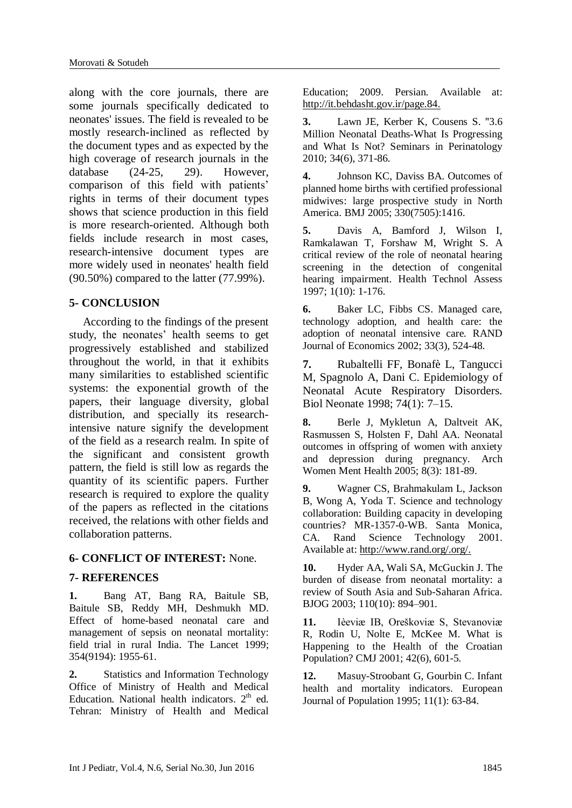along with the core journals, there are some journals specifically dedicated to neonates' issues. The field is revealed to be mostly research-inclined as reflected by the document types and as expected by the high coverage of research journals in the database (24-25, 29). However, comparison of this field with patients' rights in terms of their document types shows that science production in this field is more research-oriented. Although both fields include research in most cases, research-intensive document types are more widely used in neonates' health field (90.50%) compared to the latter (77.99%).

# **5- CONCLUSION**

According to the findings of the present study, the neonates' health seems to get progressively established and stabilized throughout the world, in that it exhibits many similarities to established scientific systems: the exponential growth of the papers, their language diversity, global distribution, and specially its researchintensive nature signify the development of the field as a research realm. In spite of the significant and consistent growth pattern, the field is still low as regards the quantity of its scientific papers. Further research is required to explore the quality of the papers as reflected in the citations received, the relations with other fields and collaboration patterns.

# **6- CONFLICT OF INTEREST:** None.

#### **7- REFERENCES**

**1.** Bang AT, Bang RA, Baitule SB, [Baitule SB,](http://www.ncbi.nlm.nih.gov/pubmed/?term=Baitule%20SB%5BAuthor%5D&cauthor=true&cauthor_uid=10622298) [Reddy MH,](http://www.ncbi.nlm.nih.gov/pubmed/?term=Reddy%20MH%5BAuthor%5D&cauthor=true&cauthor_uid=10622298) [Deshmukh MD.](http://www.ncbi.nlm.nih.gov/pubmed/?term=Deshmukh%20MD%5BAuthor%5D&cauthor=true&cauthor_uid=10622298) Effect of home-based neonatal care and management of sepsis on neonatal mortality: field trial in rural India. The Lancet 1999; 354(9194): 1955-61.

**2.** Statistics and Information Technology Office of Ministry of Health and Medical Education. National health indicators.  $2<sup>th</sup>$  ed. Tehran: Ministry of Health and Medical

Education; 2009. Persian. Available at: http://it.behdasht.gov.ir/page.84.

**3.** Lawn JE, Kerber K, Cousens S. "3.6 Million Neonatal Deaths-What Is Progressing and What Is Not? Seminars in Perinatology 2010; 34(6), 371-86.

**4.** Johnson KC, Daviss BA. Outcomes of planned home births with certified professional midwives: large prospective study in North America. BMJ 2005; 330(7505):1416.

**5.** Davis A, Bamford J, Wilson I, [Ramkalawan](http://www.ncbi.nlm.nih.gov/pubmed/?term=Ramkalawan%20T%5BAuthor%5D&cauthor=true&cauthor_uid=9483157) T, [Forshaw](http://www.ncbi.nlm.nih.gov/pubmed/?term=Forshaw%20M%5BAuthor%5D&cauthor=true&cauthor_uid=9483157) M, [Wright](http://www.ncbi.nlm.nih.gov/pubmed/?term=Wright%20S%5BAuthor%5D&cauthor=true&cauthor_uid=9483157) S. A critical review of the role of neonatal hearing screening in the detection of congenital hearing impairment. [Health Technol Assess](http://www.ncbi.nlm.nih.gov/pubmed/9483157) 1997; 1(10): 1-176.

**6.** Baker LC, Fibbs CS. Managed care, technology adoption, and health care: the adoption of neonatal intensive care. RAND Journal of Economics 2002; 33(3), 524-48.

**7.** Rubaltelli FF, Bonafè L, Tangucci M, Spagnolo A, Dani C. Epidemiology of Neonatal Acute Respiratory Disorders. [Biol Neonate](http://content.karger.com/ProdukteDB/produkte.asp?Aktion=showproducts&searchWhat=books&searchParm=toc&ProduktNr=225274) 1998; 74(1): 7–15.

**8.** Berle J, [Mykletun](http://www.ncbi.nlm.nih.gov/pubmed/?term=Mykletun%20A%5BAuthor%5D&cauthor=true&cauthor_uid=15959623) A, [Daltveit AK,](http://www.ncbi.nlm.nih.gov/pubmed/?term=Daltveit%20AK%5BAuthor%5D&cauthor=true&cauthor_uid=15959623) [Rasmussen](http://www.ncbi.nlm.nih.gov/pubmed/?term=Rasmussen%20S%5BAuthor%5D&cauthor=true&cauthor_uid=15959623) S, [Holsten](http://www.ncbi.nlm.nih.gov/pubmed/?term=Holsten%20F%5BAuthor%5D&cauthor=true&cauthor_uid=15959623) F, [Dahl AA.](http://www.ncbi.nlm.nih.gov/pubmed/?term=Dahl%20AA%5BAuthor%5D&cauthor=true&cauthor_uid=15959623) Neonatal outcomes in offspring of women with anxiety and depression during pregnancy. [Arch](http://www.ncbi.nlm.nih.gov/pubmed/15959623)  [Women Ment Health](http://www.ncbi.nlm.nih.gov/pubmed/15959623) 2005; 8(3): 181-89.

**9.** Wagner CS, Brahmakulam L, Jackson B, Wong A, Yoda T. Science and technology collaboration: Building capacity in developing countries? MR-1357-0-WB. Santa Monica, CA. Rand Science Technology 2001. Available at: http://www.rand.org/.org/.

**10.** Hyder AA, Wali SA, McGuckin J. The burden of disease from neonatal mortality: a review of South Asia and Sub-Saharan Africa. BJOG 2003; 110(10): 894–901.

**11.** Ièeviæ IB, Oreškoviæ S, Stevanoviæ R, Rodin U, Nolte E, McKee M. What is Happening to the Health of the Croatian Population? CMJ 2001; 42(6), 601-5.

**12.** Masuy-Stroobant G, Gourbin C. Infant health and mortality indicators. European Journal of Population 1995; 11(1): 63-84.